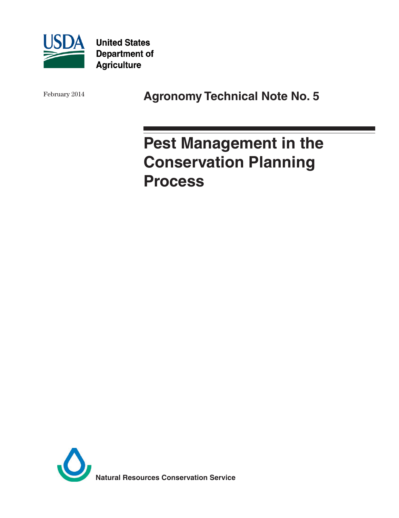

**United States Department of Agriculture** 

February 2014 **Agronomy Technical Note No. 5** 

# **Pest Management in the Conservation Planning Process**

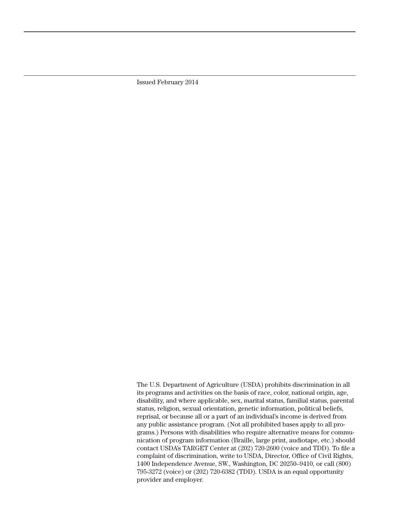Issued February 2014

The U.S. Department of Agriculture (USDA) prohibits discrimination in all its programs and activities on the basis of race, color, national origin, age, disability, and where applicable, sex, marital status, familial status, parental status, religion, sexual orientation, genetic information, political beliefs, reprisal, or because all or a part of an individual's income is derived from any public assistance program. (Not all prohibited bases apply to all programs.) Persons with disabilities who require alternative means for communication of program information (Braille, large print, audiotape, etc.) should contact USDA's TARGET Center at (202) 720-2600 (voice and TDD). To file a complaint of discrimination, write to USDA, Director, Office of Civil Rights, 1400 Independence Avenue, SW., Washington, DC 20250–9410, or call (800) 795-3272 (voice) or (202) 720-6382 (TDD). USDA is an equal opportunity provider and employer.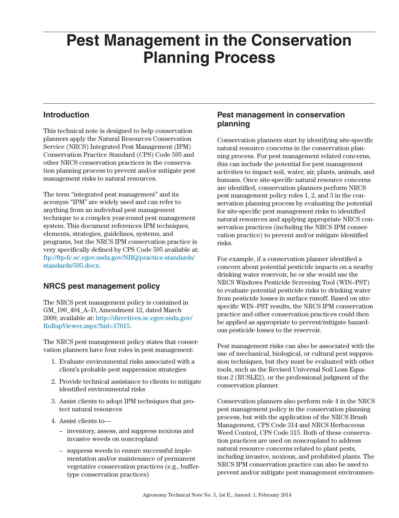# **Pest Management in the Conservation Planning Process**

#### **Introduction**

This technical note is designed to help conservation planners apply the Natural Resources Conservation Service (NRCS) Integrated Pest Management (IPM) Conservation Practice Standard (CPS) Code 595 and other NRCS conservation practices in the conservation planning process to prevent and/or mitigate pest management risks to natural resources.

The term "integrated pest management" and its acronym "IPM" are widely used and can refer to anything from an individual pest management technique to a complex year-round pest management system. This document references IPM techniques, elements, strategies, guidelines, systems, and programs, but the NRCS IPM conservation practice is very specifically defined by [CPS Code 595 available at:](http://) ftp://ftp-fc.sc.egov.usda.gov/NHQ/practice-standards/ standards/595.docx.

# **NRCS pest management policy**

The NRCS pest management policy is contained in GM\_190\_404\_A–D, Amendment 12, dated March 2009, available at: [http://directives.sc.egov.usda.gov/](http://directives.sc.egov.usda.gov/RollupViewer.aspx?hid=17015) [RollupViewer.aspx?hid=17015](http://directives.sc.egov.usda.gov/RollupViewer.aspx?hid=17015).

The NRCS pest management policy states that conservation planners have four roles in pest management:

- 1. Evaluate environmental risks associated with a client's probable pest suppression strategies
- 2. Provide technical assistance to clients to mitigate identified environmental risks
- 3. Assist clients to adopt IPM techniques that protect natural resources
- 4. Assist clients to—
	- inventory, assess, and suppress noxious and invasive weeds on noncropland
	- suppress weeds to ensure successful implementation and/or maintenance of permanent vegetative conservation practices (e.g., buffertype conservation practices)

#### **Pest management in conservation planning**

Conservation planners start by identifying site-specific natural resource concerns in the conservation planning process. For pest management related concerns, this can include the potential for pest management activities to impact soil, water, air, plants, animals, and humans. Once site-specific natural resource concerns are identified, conservation planners perform NRCS pest management policy roles 1, 2, and 3 in the conservation planning process by evaluating the potential for site-specific pest management risks to identified natural resources and applying appropriate NRCS conservation practices (including the NRCS IPM conservation practice) to prevent and/or mitigate identified risks.

For example, if a conservation planner identified a concern about potential pesticide impacts on a nearby drinking water reservoir, he or she would use the NRCS Windows Pesticide Screening Tool (WIN–PST) to evaluate potential pesticide risks to drinking water from pesticide losses in surface runoff. Based on sitespecific WIN–PST results, the NRCS IPM conservation practice and other conservation practices could then be applied as appropriate to prevent/mitigate hazardous pesticide losses to the reservoir.

Pest management risks can also be associated with the use of mechanical, biological, or cultural pest suppression techniques, but they must be evaluated with other tools, such as the Revised Universal Soil Loss Equation 2 (RUSLE2), or the professional judgment of the conservation planner.

Conservation planners also perform role 4 in the NRCS pest management policy in the conservation planning process, but with the application of the NRCS Brush Management, CPS Code 314 and NRCS Herbaceous Weed Control, CPS Code 315. Both of these conservation practices are used on noncropland to address natural resource concerns related to plant pests, including invasive, noxious, and prohibited plants. The NRCS IPM conservation practice can also be used to prevent and/or mitigate pest management environmen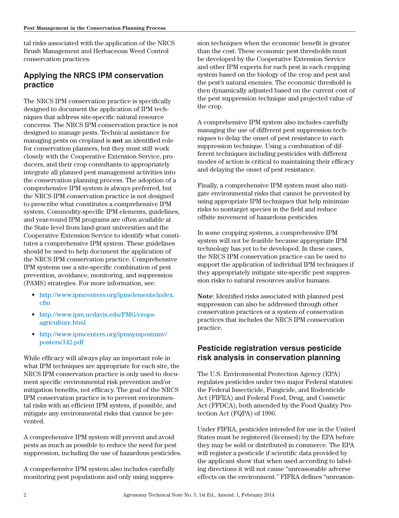tal risks associated with the application of the NRCS Brush Management and Herbaceous Weed Control conservation practices.

# **Applying the NRCS IPM conservation practice**

The NRCS IPM conservation practice is specifically designed to document the application of IPM techniques that address site-specific natural resource concerns. The NRCS IPM conservation practice is not designed to manage pests. Technical assistance for managing pests on cropland is **not** an identified role for conservation planners, but they must still work closely with the Cooperative Extension Service, producers, and their crop consultants to appropriately integrate all planned pest management activities into the conservation planning process. The adoption of a comprehensive IPM system is always preferred, but the NRCS IPM conservation practice is not designed to prescribe what constitutes a comprehensive IPM system. Commodity-specific IPM elements, guidelines, and year-round IPM programs are often available at the State level from land-grant universities and the Cooperative Extension Service to identify what constitutes a comprehensive IPM system. These guidelines should be used to help document the application of the NRCS IPM conservation practice. Comprehensive IPM systems use a site-specific combination of pest prevention, avoidance, monitoring, and suppression (PAMS) strategies. For more information, see:

- [http://www.ipmcenters.org/ipmelements/index.](http://www.ipmcenters.org/ipmelements/index.cfm) [cfm](http://www.ipmcenters.org/ipmelements/index.cfm)
- http://www.ipm.ucdavis.edu/PMG/cropsagriculture.html
- [http://www.ipmcenters.org/ipmsymposiumv/](http://www.ipmcenters.org/ipmsymposiumv/posters/142.pdf) [posters/142.pdf](http://www.ipmcenters.org/ipmsymposiumv/posters/142.pdf)

While efficacy will always play an important role in what IPM techniques are appropriate for each site, the NRCS IPM conservation practice is only used to document specific environmental risk prevention and/or mitigation benefits, not efficacy. The goal of the NRCS IPM conservation practice is to prevent environmental risks with an efficient IPM system, if possible, and mitigate any environmental risks that cannot be prevented.

A comprehensive IPM system will prevent and avoid pests as much as possible to reduce the need for pest suppression, including the use of hazardous pesticides.

A comprehensive IPM system also includes carefully monitoring pest populations and only using suppression techniques when the economic benefit is greater than the cost. These economic pest thresholds must be developed by the Cooperative Extension Service and other IPM experts for each pest in each cropping system based on the biology of the crop and pest and the pest's natural enemies. The economic threshold is then dynamically adjusted based on the current cost of the pest suppression technique and projected value of the crop.

A comprehensive IPM system also includes carefully managing the use of different pest suppression techniques to delay the onset of pest resistance to each suppression technique. Using a combination of different techniques including pesticides with different modes of action is critical to maintaining their efficacy and delaying the onset of pest resistance.

Finally, a comprehensive IPM system must also mitigate environmental risks that cannot be prevented by using appropriate IPM techniques that help minimize risks to nontarget species in the field and reduce offsite movement of hazardous pesticides.

In some cropping systems, a comprehensive IPM system will not be feasible because appropriate IPM technology has yet to be developed. In these cases, the NRCS IPM conservation practice can be used to support the application of individual IPM techniques if they appropriately mitigate site-specific pest suppression risks to natural resources and/or humans.

**Note**: Identified risks associated with planned pest suppression can also be addressed through other conservation practices or a system of conservation practices that includes the NRCS IPM conservation practice.

#### **Pesticide registration versus pesticide risk analysis in conservation planning**

The U.S. Environmental Protection Agency (EPA) regulates pesticides under two major Federal statutes: the Federal Insecticide, Fungicide, and Rodenticide Act (FIFRA) and Federal Food, Drug, and Cosmetic Act (FFDCA), both amended by the Food Quality Protection Act (FQPA) of 1996.

Under FIFRA, pesticides intended for use in the United States must be registered (licensed) by the EPA before they may be sold or distributed in commerce. The EPA will register a pesticide if scientific data provided by the applicant show that when used according to labeling directions it will not cause "unreasonable adverse effects on the environment." FIFRA defines "unreason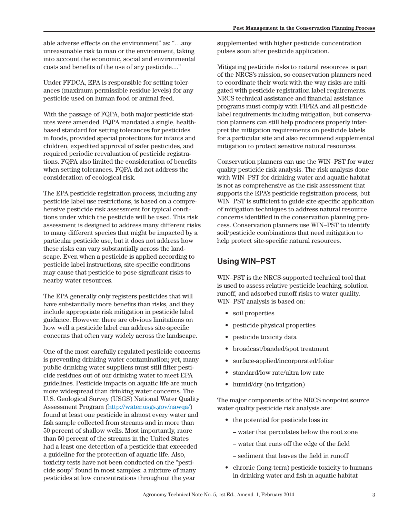able adverse effects on the environment" as: "…any unreasonable risk to man or the environment, taking into account the economic, social and environmental costs and benefits of the use of any pesticide…"

Under FFDCA, EPA is responsible for setting tolerances (maximum permissible residue levels) for any pesticide used on human food or animal feed.

With the passage of FQPA, both major pesticide statutes were amended. FQPA mandated a single, healthbased standard for setting tolerances for pesticides in foods, provided special protections for infants and children, expedited approval of safer pesticides, and required periodic reevaluation of pesticide registrations. FQPA also limited the consideration of benefits when setting tolerances. FQPA did not address the consideration of ecological risk.

The EPA pesticide registration process, including any pesticide label use restrictions, is based on a comprehensive pesticide risk assessment for typical conditions under which the pesticide will be used. This risk assessment is designed to address many different risks to many different species that might be impacted by a particular pesticide use, but it does not address how these risks can vary substantially across the landscape. Even when a pesticide is applied according to pesticide label instructions, site-specific conditions may cause that pesticide to pose significant risks to nearby water resources.

The EPA generally only registers pesticides that will have substantially more benefits than risks, and they include appropriate risk mitigation in pesticide label guidance. However, there are obvious limitations on how well a pesticide label can address site-specific concerns that often vary widely across the landscape.

One of the most carefully regulated pesticide concerns is preventing drinking water contamination; yet, many public drinking water suppliers must still filter pesticide residues out of our drinking water to meet EPA guidelines. Pesticide impacts on aquatic life are much more widespread than drinking water concerns. The U.S. Geological Survey (USGS) National Water Quality Assessment Program (http://water.usgs.gov/nawqa/) found at least one pesticide in almost every water and fish sample collected from streams and in more than 50 percent of shallow wells. Most importantly, more than 50 percent of the streams in the United States had a least one detection of a pesticide that exceeded a guideline for the protection of aquatic life. Also, toxicity tests have not been conducted on the "pesticide soup" found in most samples: a mixture of many pesticides at low concentrations throughout the year

supplemented with higher pesticide concentration pulses soon after pesticide application.

Mitigating pesticide risks to natural resources is part of the NRCS's mission, so conservation planners need to coordinate their work with the way risks are mitigated with pesticide registration label requirements. NRCS technical assistance and financial assistance programs must comply with FIFRA and all pesticide label requirements including mitigation, but conservation planners can still help producers properly interpret the mitigation requirements on pesticide labels for a particular site and also recommend supplemental mitigation to protect sensitive natural resources.

Conservation planners can use the WIN–PST for water quality pesticide risk analysis. The risk analysis done with WIN–PST for drinking water and aquatic habitat is not as comprehensive as the risk assessment that supports the EPA's pesticide registration process, but WIN–PST is sufficient to guide site-specific application of mitigation techniques to address natural resource concerns identified in the conservation planning process. Conservation planners use WIN–PST to identify soil/pesticide combinations that need mitigation to help protect site-specific natural resources.

# **Using WIN–PST**

WIN–PST is the NRCS-supported technical tool that is used to assess relative pesticide leaching, solution runoff, and adsorbed runoff risks to water quality. WIN–PST analysis is based on:

- soil properties
- pesticide physical properties
- pesticide toxicity data
- broadcast/banded/spot treatment
- surface-applied/incorporated/foliar
- standard/low rate/ultra low rate
- humid/dry (no irrigation)

The major components of the NRCS nonpoint source water quality pesticide risk analysis are:

- the potential for pesticide loss in:
	- water that percolates below the root zone
	- water that runs off the edge of the field
	- sediment that leaves the field in runoff
- chronic (long-term) pesticide toxicity to humans in drinking water and fish in aquatic habitat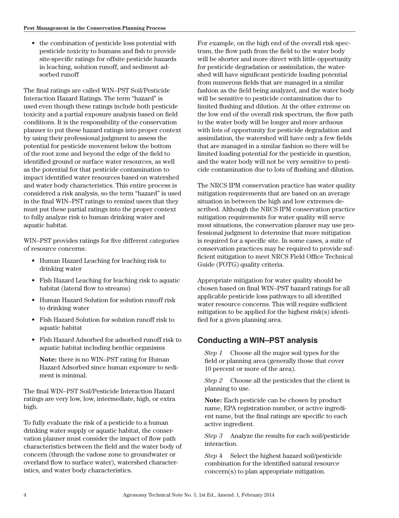• the combination of pesticide loss potential with pesticide toxicity to humans and fish to provide site-specific ratings for offsite pesticide hazards in leaching, solution runoff, and sediment adsorbed runoff

The final ratings are called WIN–PST Soil/Pesticide Interaction Hazard Ratings. The term "hazard" is used even though these ratings include both pesticide toxicity and a partial exposure analysis based on field conditions. It is the responsibility of the conservation planner to put these hazard ratings into proper context by using their professional judgment to assess the potential for pesticide movement below the bottom of the root zone and beyond the edge of the field to identified ground or surface water resources, as well as the potential for that pesticide contamination to impact identified water resources based on watershed and water body characteristics. This entire process is considered a risk analysis, so the term "hazard" is used in the final WIN–PST ratings to remind users that they must put these partial ratings into the proper context to fully analyze risk to human drinking water and aquatic habitat.

WIN–PST provides ratings for five different categories of resource concerns:

- Human Hazard Leaching for leaching risk to drinking water
- Fish Hazard Leaching for leaching risk to aquatic habitat (lateral flow to streams)
- Human Hazard Solution for solution runoff risk to drinking water
- Fish Hazard Solution for solution runoff risk to aquatic habitat
- Fish Hazard Adsorbed for adsorbed runoff risk to aquatic habitat including benthic organisms

**Note:** there is no WIN–PST rating for Human Hazard Adsorbed since human exposure to sediment is minimal.

The final WIN–PST Soil/Pesticide Interaction Hazard ratings are very low, low, intermediate, high, or extra high.

To fully evaluate the risk of a pesticide to a human drinking water supply or aquatic habitat, the conservation planner must consider the impact of flow path characteristics between the field and the water body of concern (through the vadose zone to groundwater or overland flow to surface water), watershed characteristics, and water body characteristics.

For example, on the high end of the overall risk spectrum, the flow path from the field to the water body will be shorter and more direct with little opportunity for pesticide degradation or assimilation, the watershed will have significant pesticide loading potential from numerous fields that are managed in a similar fashion as the field being analyzed, and the water body will be sensitive to pesticide contamination due to limited flushing and dilution. At the other extreme on the low end of the overall risk spectrum, the flow path to the water body will be longer and more arduous with lots of opportunity for pesticide degradation and assimilation, the watershed will have only a few fields that are managed in a similar fashion so there will be limited loading potential for the pesticide in question, and the water body will not be very sensitive to pesticide contamination due to lots of flushing and dilution.

The NRCS IPM conservation practice has water quality mitigation requirements that are based on an average situation in between the high and low extremes described. Although the NRCS IPM conservation practice mitigation requirements for water quality will serve most situations, the conservation planner may use professional judgment to determine that more mitigation is required for a specific site. In some cases, a suite of conservation practices may be required to provide sufficient mitigation to meet NRCS Field Office Technical Guide (FOTG) quality criteria.

Appropriate mitigation for water quality should be chosen based on final WIN–PST hazard ratings for all applicable pesticide loss pathways to all identified water resource concerns. This will require sufficient mitigation to be applied for the highest risk(s) identified for a given planning area.

#### **Conducting a WIN–PST analysis**

*Step 1* Choose all the major soil types for the field or planning area (generally those that cover 10 percent or more of the area).

*Step 2* Choose all the pesticides that the client is planning to use.

**Note:** Each pesticide can be chosen by product name, EPA registration number, or active ingredient name, but the final ratings are specific to each active ingredient.

*Step 3* Analyze the results for each soil/pesticide interaction.

*Step 4* Select the highest hazard soil/pesticide combination for the identified natural resource concern(s) to plan appropriate mitigation.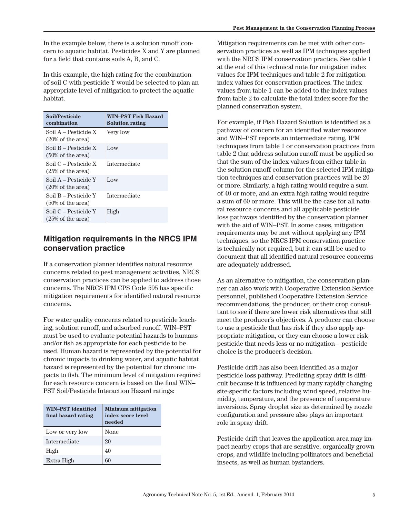In the example below, there is a solution runoff concern to aquatic habitat. Pesticides X and Y are planned for a field that contains soils A, B, and C.

In this example, the high rating for the combination of soil C with pesticide Y would be selected to plan an appropriate level of mitigation to protect the aquatic habitat.

| <b>Soil/Pesticide</b><br>combination                 | <b>WIN-PST Fish Hazard</b><br><b>Solution rating</b> |
|------------------------------------------------------|------------------------------------------------------|
| Soil A – Pesticide X<br>$(20\% \text{ of the area})$ | Very low                                             |
| Soil B – Pesticide X<br>$(50\% \text{ of the area})$ | Low                                                  |
| Soil C – Pesticide X<br>$(25\% \text{ of the area})$ | Intermediate                                         |
| Soil A – Pesticide Y<br>$(20\% \text{ of the area})$ | Low                                                  |
| Soil B – Pesticide Y<br>$(50\% \text{ of the area})$ | Intermediate                                         |
| Soil C – Pesticide Y<br>$(25\% \text{ of the area})$ | High                                                 |

#### **Mitigation requirements in the NRCS IPM conservation practice**

If a conservation planner identifies natural resource concerns related to pest management activities, NRCS conservation practices can be applied to address those concerns. The NRCS IPM CPS Code 595 has specific mitigation requirements for identified natural resource concerns.

For water quality concerns related to pesticide leaching, solution runoff, and adsorbed runoff, WIN–PST must be used to evaluate potential hazards to humans and/or fish as appropriate for each pesticide to be used. Human hazard is represented by the potential for chronic impacts to drinking water, and aquatic habitat hazard is represented by the potential for chronic impacts to fish. The minimum level of mitigation required for each resource concern is based on the final WIN– PST Soil/Pesticide Interaction Hazard ratings:

| <b>WIN-PST</b> identified<br>final hazard rating | <b>Minimum mitigation</b><br>index score level<br>needed |
|--------------------------------------------------|----------------------------------------------------------|
| Low or very low                                  | None                                                     |
| Intermediate                                     | 20                                                       |
| High                                             | 40                                                       |
| Extra High                                       | 60                                                       |

Mitigation requirements can be met with other conservation practices as well as IPM techniques applied with the NRCS IPM conservation practice. See table 1 at the end of this technical note for mitigation index values for IPM techniques and table 2 for mitigation index values for conservation practices. The index values from table 1 can be added to the index values from table 2 to calculate the total index score for the planned conservation system.

For example, if Fish Hazard Solution is identified as a pathway of concern for an identified water resource and WIN–PST reports an intermediate rating, IPM techniques from table 1 or conservation practices from table 2 that address solution runoff must be applied so that the sum of the index values from either table in the solution runoff column for the selected IPM mitigation techniques and conservation practices will be 20 or more. Similarly, a high rating would require a sum of 40 or more, and an extra high rating would require a sum of 60 or more. This will be the case for all natural resource concerns and all applicable pesticide loss pathways identified by the conservation planner with the aid of WIN–PST. In some cases, mitigation requirements may be met without applying any IPM techniques, so the NRCS IPM conservation practice is technically not required, but it can still be used to document that all identified natural resource concerns are adequately addressed.

As an alternative to mitigation, the conservation planner can also work with Cooperative Extension Service personnel, published Cooperative Extension Service recommendations, the producer, or their crop consultant to see if there are lower risk alternatives that still meet the producer's objectives. A producer can choose to use a pesticide that has risk if they also apply appropriate mitigation, or they can choose a lower risk pesticide that needs less or no mitigation—pesticide choice is the producer's decision.

Pesticide drift has also been identified as a major pesticide loss pathway. Predicting spray drift is difficult because it is influenced by many rapidly changing site-specific factors including wind speed, relative humidity, temperature, and the presence of temperature inversions. Spray droplet size as determined by nozzle configuration and pressure also plays an important role in spray drift.

Pesticide drift that leaves the application area may impact nearby crops that are sensitive, organically grown crops, and wildlife including pollinators and beneficial insects, as well as human bystanders.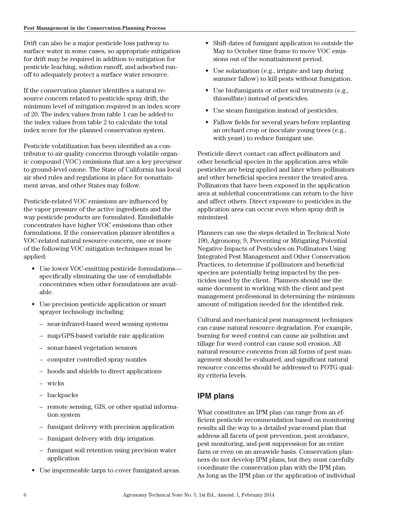Drift can also be a major pesticide loss pathway to surface water in some cases, so appropriate mitigation for drift may be required in addition to mitigation for pesticide leaching, solution runoff, and adsorbed runoff to adequately protect a surface water resource.

If the conservation planner identifies a natural resource concern related to pesticide spray drift, the minimum level of mitigation required is an index score of 20. The index values from table 1 can be added to the index values from table 2 to calculate the total index score for the planned conservation system.

Pesticide volatilization has been identified as a contributor to air quality concerns through volatile organic compound (VOC) emissions that are a key precursor to ground-level ozone. The State of California has local air shed rules and regulations in place for nonattainment areas, and other States may follow.

Pesticide-related VOC emissions are influenced by the vapor pressure of the active ingredients and the way pesticide products are formulated. Emulsifiable concentrates have higher VOC emissions than other formulations. If the conservation planner identifies a VOC-related natural resource concern, one or more of the following VOC mitigation techniques must be applied:

- Use lower VOC-emitting pesticide formulations specifically eliminating the use of emulsifiable concentrates when other formulations are available.
- Use precision pesticide application or smart sprayer technology including:
	- near-infrared-based weed sensing systems
	- map/GPS-based variable rate application
	- sonar-based vegetation sensors
	- computer controlled spray nozzles
	- hoods and shields to direct applications
	- wicks
	- backpacks
	- remote sensing, GIS, or other spatial information system
	- fumigant delivery with precision application
	- fumigant delivery with drip irrigation
	- fumigant soil retention using precision water application
- Use impermeable tarps to cover fumigated areas.
- Shift dates of fumigant application to outside the May to October time frame to move VOC emissions out of the nonattainment period.
- Use solarization (e.g., irrigate and tarp during summer fallow) to kill pests without fumigation.
- Use biofumigants or other soil treatments (e.g., thiosulfate) instead of pesticides.
- Use steam fumigation instead of pesticides.
- Fallow fields for several years before replanting an orchard crop or inoculate young trees (e.g., with yeast) to reduce fumigant use.

Pesticide direct contact can affect pollinators and other beneficial species in the application area while pesticides are being applied and later when pollinators and other beneficial species reenter the treated area. Pollinators that have been exposed in the application area at sublethal concentrations can return to the hive and affect others. Direct exposure to pesticides in the application area can occur even when spray drift is minimized.

Planners can use the steps detailed in Technical Note 190, Agronomy, 9, Preventing or Mitigating Potential Negative Impacts of Pesticides on Pollinators Using Integrated Pest Management and Other Conservation Practices, to determine if pollinators and beneficial species are potentially being impacted by the pesticides used by the client. Planners should use the same document in working with the client and pest management professional in determining the minimum amount of mitigation needed for the identified risk.

Cultural and mechanical pest management techniques can cause natural resource degradation. For example, burning for weed control can cause air pollution and tillage for weed control can cause soil erosion. All natural resource concerns from all forms of pest management should be evaluated, and significant natural resource concerns should be addressed to FOTG quality criteria levels.

# **IPM plans**

What constitutes an IPM plan can range from an efficient pesticide recommendation based on monitoring results all the way to a detailed year-round plan that address all facets of pest prevention, pest avoidance, pest monitoring, and pest suppression for an entire farm or even on an areawide basis. Conservation planners do not develop IPM plans, but they must carefully coordinate the conservation plan with the IPM plan. As long as the IPM plan or the application of individual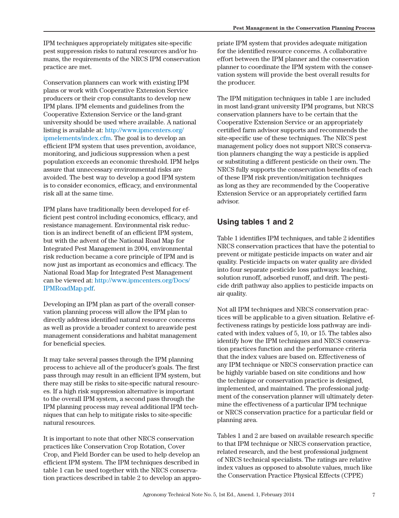IPM techniques appropriately mitigates site-specific pest suppression risks to natural resources and/or humans, the requirements of the NRCS IPM conservation practice are met.

Conservation planners can work with existing IPM plans or work with Cooperative Extension Service producers or their crop consultants to develop new IPM plans. IPM elements and guidelines from the Cooperative Extension Service or the land-grant university should be used where available. A national listing is available at: [http://www.ipmcenters.org/](http://www.ipmcenters.org/ipmelements/index.cfm) [ipmelements/index.cfm.](http://www.ipmcenters.org/ipmelements/index.cfm) The goal is to develop an efficient IPM system that uses prevention, avoidance, monitoring, and judicious suppression when a pest population exceeds an economic threshold. IPM helps assure that unnecessary environmental risks are avoided. The best way to develop a good IPM system is to consider economics, efficacy, and environmental risk all at the same time.

IPM plans have traditionally been developed for efficient pest control including economics, efficacy, and resistance management. Environmental risk reduction is an indirect benefit of an efficient IPM system, but with the advent of the National Road Map for Integrated Pest Management in 2004, environmental risk reduction became a core principle of IPM and is now just as important as economics and efficacy. The National Road Map for Integrated Pest Management can be viewed at: [http://www.ipmcenters.org/Docs/](http://www.ipmcenters.org/Docs/IPMRoadMap.pdf) [IPMRoadMap.pdf](http://www.ipmcenters.org/Docs/IPMRoadMap.pdf).

Developing an IPM plan as part of the overall conservation planning process will allow the IPM plan to directly address identified natural resource concerns as well as provide a broader context to areawide pest management considerations and habitat management for beneficial species.

It may take several passes through the IPM planning process to achieve all of the producer's goals. The first pass through may result in an efficient IPM system, but there may still be risks to site-specific natural resources. If a high risk suppression alternative is important to the overall IPM system, a second pass through the IPM planning process may reveal additional IPM techniques that can help to mitigate risks to site-specific natural resources.

It is important to note that other NRCS conservation practices like Conservation Crop Rotation, Cover Crop, and Field Border can be used to help develop an efficient IPM system. The IPM techniques described in table 1 can be used together with the NRCS conservation practices described in table 2 to develop an appropriate IPM system that provides adequate mitigation for the identified resource concerns. A collaborative effort between the IPM planner and the conservation planner to coordinate the IPM system with the conservation system will provide the best overall results for the producer.

The IPM mitigation techniques in table 1 are included in most land-grant university IPM programs, but NRCS conservation planners have to be certain that the Cooperative Extension Service or an appropriately certified farm advisor supports and recommends the site-specific use of these techniques. The NRCS pest management policy does not support NRCS conservation planners changing the way a pesticide is applied or substituting a different pesticide on their own. The NRCS fully supports the conservation benefits of each of these IPM risk prevention/mitigation techniques as long as they are recommended by the Cooperative Extension Service or an appropriately certified farm advisor.

# **Using tables 1 and 2**

Table 1 identifies IPM techniques, and table 2 identifies NRCS conservation practices that have the potential to prevent or mitigate pesticide impacts on water and air quality. Pesticide impacts on water quality are divided into four separate pesticide loss pathways: leaching, solution runoff, adsorbed runoff, and drift. The pesticide drift pathway also applies to pesticide impacts on air quality.

Not all IPM techniques and NRCS conservation practices will be applicable to a given situation. Relative effectiveness ratings by pesticide loss pathway are indicated with index values of 5, 10, or 15. The tables also identify how the IPM techniques and NRCS conservation practices function and the performance criteria that the index values are based on. Effectiveness of any IPM technique or NRCS conservation practice can be highly variable based on site conditions and how the technique or conservation practice is designed, implemented, and maintained. The professional judgment of the conservation planner will ultimately determine the effectiveness of a particular IPM technique or NRCS conservation practice for a particular field or planning area.

Tables 1 and 2 are based on available research specific to that IPM technique or NRCS conservation practice, related research, and the best professional judgment of NRCS technical specialists. The ratings are relative index values as opposed to absolute values, much like the Conservation Practice Physical Effects (CPPE)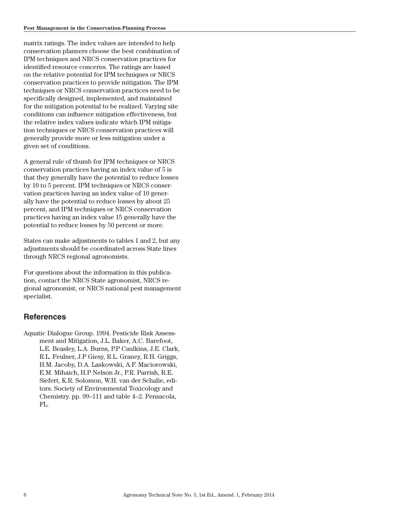matrix ratings. The index values are intended to help conservation planners choose the best combination of IPM techniques and NRCS conservation practices for identified resource concerns. The ratings are based on the relative potential for IPM techniques or NRCS conservation practices to provide mitigation. The IPM techniques or NRCS conservation practices need to be specifically designed, implemented, and maintained for the mitigation potential to be realized. Varying site conditions can influence mitigation effectiveness, but the relative index values indicate which IPM mitigation techniques or NRCS conservation practices will generally provide more or less mitigation under a given set of conditions.

A general rule of thumb for IPM techniques or NRCS conservation practices having an index value of 5 is that they generally have the potential to reduce losses by 10 to 5 percent. IPM techniques or NRCS conservation practices having an index value of 10 generally have the potential to reduce losses by about 25 percent, and IPM techniques or NRCS conservation practices having an index value 15 generally have the potential to reduce losses by 50 percent or more.

States can make adjustments to tables 1 and 2, but any adjustments should be coordinated across State lines through NRCS regional agronomists.

For questions about the information in this publication, contact the NRCS State agronomist, NRCS regional agronomist, or NRCS national pest management specialist.

#### **References**

Aquatic Dialogue Group. 1994. Pesticide Risk Assessment and Mitigation, J.L. Baker, A.C. Barefoot, L.E. Beasley, L.A. Burns, P.P Caulkins, J.E. Clark, R.L. Feulner, J.P Giesy, R.L. Graney, R.H. Griggs, H.M. Jacoby, D.A. Laskowski, A.F. Maciorowski, E.M. Mihaich, H.P Nelson Jr., P.R. Parrish, R.E. Siefert, K.R. Solomon, W.H. van der Schalie, editors. Society of Environmental Toxicology and Chemistry. pp. 99–111 and table 4–2. Pensacola, FL.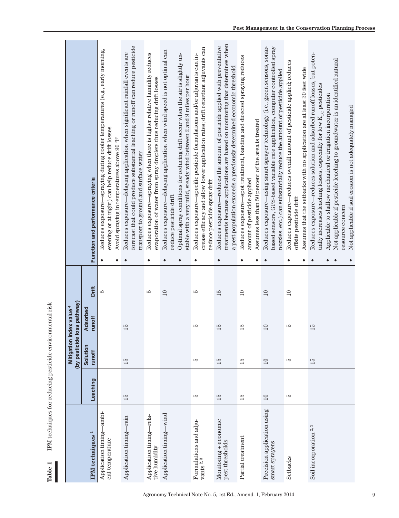| IPM techniques for reducing pesticide environmental risk<br>$\blacksquare$<br>Table |                 |                    |                                          |                 |                                                                                                                                                                                                                                                                                                                                                                                      |
|-------------------------------------------------------------------------------------|-----------------|--------------------|------------------------------------------|-----------------|--------------------------------------------------------------------------------------------------------------------------------------------------------------------------------------------------------------------------------------------------------------------------------------------------------------------------------------------------------------------------------------|
|                                                                                     |                 | (by pesticide I    | oss pathway)<br>Mitigation index value 4 |                 |                                                                                                                                                                                                                                                                                                                                                                                      |
| IPM techniques <sup>1</sup>                                                         | Leaching        | Solution<br>runoff | Adsorbed<br>runoff                       | Drift           | Function and performance criteria                                                                                                                                                                                                                                                                                                                                                    |
| -ambi<br>Application timing-<br>ent temperature                                     |                 |                    |                                          | 5               | -spraying during cooler temperatures (e.g., early morning,<br>evening or at night) can help reduce drift losses<br>Avoid spraying in temperatures above 90 °F<br>Reduces exposure-<br>$\bullet$<br>$\bullet$                                                                                                                                                                         |
| $-$ rain<br>Application timing-                                                     | $\overline{15}$ | $\overline{15}$    | $\overline{15}$                          |                 | forecast that could produce substantial leaching or runoff can reduce pesticide<br>Reduces exposure—delaying application when significant rainfall events are<br>transport to ground and surface water<br>$\bullet$                                                                                                                                                                  |
| Application timing-rela-<br>tive humidity                                           |                 |                    |                                          | w               | -spraying when there is higher relative humidity reduces<br>evaporation of water from spray droplets thus reducing drift losses<br>Reduces exposure-<br>$\bullet$                                                                                                                                                                                                                    |
| Application timing-wind                                                             |                 |                    |                                          | $\overline{10}$ | Reduces exposure—delaying application when wind speed is not optimal can<br>Optimal spray conditions for reducing drift occur when the air is slightly un-<br>stable with a very mild, steady wind between 2 and 9 miles per hour<br>reduce pesticide drift<br>$\bullet$<br>$\bullet$                                                                                                |
| Formulations and adjuvants $\overset{2}{\phantom{1}3}$                              | LО              | LО                 | LО                                       | w               | crease efficacy and allow lower application rates; drift retardant adjuvants can<br>Reduces exposure—specific pesticide formulations and/or adjuvants can in-<br>reduce pesticide spray drift<br>$\bullet$                                                                                                                                                                           |
| Monitoring + economic<br>pest thresholds                                            | 15              | 15                 | $\overline{15}$                          | 15              | treatments because applications are based on monitoring that determines when<br>Reduces exposure—reduces the amount of pesticide applied with preventative<br>a pest population exceeds a previously determined economic threshold<br>$\bullet$                                                                                                                                      |
| Partial treatment                                                                   | $\overline{15}$ | $\overline{15}$    | $\overline{15}$                          | $\supseteq$     | -spot treatment, banding and directed spraying reduces<br>Assumes less than 50 percent of the area is treated<br>amount of pesticide applied<br>Reduces exposure-<br>$\bullet$<br>$\bullet$                                                                                                                                                                                          |
| Precision application using<br>smart sprayers                                       | $\Box$          | $10\,$             | $\Box$                                   | $\overline{10}$ | Reduces exposure—using smart sprayer technology (i.e., green sensors, sonar-<br>based sensors, GPS-based variable rate application, computer controlled spray<br>nozzles, etc.) can substantially reduce the amount of pesticide applied<br>$\bullet$                                                                                                                                |
| Setbacks                                                                            | ГŰ              | S                  | ١О                                       | $\Box$          | Reduces exposure—reduces overall amount of pesticide applied; reduces<br>Assumes that the setbacks with no application are at least 30 feet wide<br>offsite pesticide drift<br>$\bullet$                                                                                                                                                                                             |
| Soil incorporation <sup>2,3</sup>                                                   |                 | 15                 | $\overline{15}$                          |                 | Reduces exposure—reduces solution and adsorbed runoff losses, but poten-<br>Not applicable if pesticide leaching to groundwater is an identified natural<br>tially increases leaching losses, especially for low $K_{OC}$ pesticides<br>Applicable to shallow mechanical or irrigation incorporation<br>Not applicable if soil erosion is not adequately managed<br>resource concern |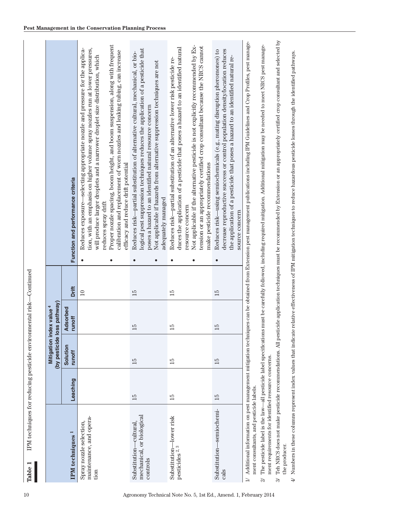|                                                                                                            |                 | Mitigation index value 4 |                    |                |                                                                                                                                                                                                                                                                                                                                                                                                                                                                                                      |
|------------------------------------------------------------------------------------------------------------|-----------------|--------------------------|--------------------|----------------|------------------------------------------------------------------------------------------------------------------------------------------------------------------------------------------------------------------------------------------------------------------------------------------------------------------------------------------------------------------------------------------------------------------------------------------------------------------------------------------------------|
|                                                                                                            |                 | (by pesticide            | oss pathway)       |                |                                                                                                                                                                                                                                                                                                                                                                                                                                                                                                      |
| IPM techniques <sup>1</sup>                                                                                | Leaching        | Solution<br>runoff       | Adsorbed<br>runoff | Drift          | Function and performance criteria                                                                                                                                                                                                                                                                                                                                                                                                                                                                    |
| maintenance, and opera-<br>Spray nozzle selection,<br>tion                                                 |                 |                          |                    | $\equiv$       | Proper nozzle spacing, boom height, and boom suspension, along with frequent<br>tion, with an emphasis on higher volume spray nozzles run at lower pressures,<br>Reduces exposure—selecting appropriate nozzle and pressure for the applica-<br>calibration and replacement of worn nozzles and leaking tubing, can increase<br>will produce larger droplets and a narrower droplet size distribution, which<br>efficacy and reduce drift potential<br>reduces spray drift<br>$\bullet$<br>$\bullet$ |
| mechanical, or biological<br>Substitution—cultural.<br>controls                                            | $\overline{15}$ | $\overline{15}$          | $\overline{15}$    | 15             | logical pest suppression techniques reduces the application of a pesticide that<br>Reduces risk—partial substitution of alternative cultural, mechanical, or bio-<br>Not applicable if hazards from alternative suppression techniques are not<br>poses a hazard to an identified natural resource concern<br>adequately managed<br>$\bullet$<br>$\bullet$                                                                                                                                           |
| Substitution-lower risk<br>S<br>pesticides <sup>2</sup>                                                    | $\overline{5}$  | $\overline{5}$           | $\overline{5}$     | $\overline{5}$ | Not applicable if the alternative pesticide is not explicitly recommended by $\operatorname{Ex-}$<br>tension or an appropriately certified crop consultant because the NRCS cannot<br>duces the application of a pesticide that poses a hazard to an identified natural<br>Reduces risk—partial substitution of an alternative lower risk pesticide re-<br>make pesticide recommendations<br>resource concern<br>$\bullet$<br>$\bullet$                                                              |
| Substitution—semiochemi-<br>cals                                                                           | $\overline{15}$ | $\overline{15}$          | 15                 | 15             | decrease reproductive success or control population density/location reduces<br>Reduces risk—using semiochemicals (e.g., mating disruption pheromones) to<br>the application of a pesticide that poses a hazard to an identified natural re-<br>source concern<br>$\bullet$                                                                                                                                                                                                                          |
| Additional information on pest management mitigation techn<br>ment consultants, and pesticide labels.<br>コ |                 |                          |                    |                | iques can be obtained from Extension pest management publications including IPM Guidelines and Crop Profiles, pest manage-                                                                                                                                                                                                                                                                                                                                                                           |
| ment requirements for identified resource concerns.<br>21                                                  |                 |                          |                    |                | The pesticide label is the law—all pesticide label specifications must be carefully followed, including required mitigation. Additional mitigation may be needed to meet NRCS pest manage-                                                                                                                                                                                                                                                                                                           |
| the producer.<br>$\approx$                                                                                 |                 |                          |                    |                | Teh NRCS does not make pesticide recommendations. All pesticide application techniques must be recommended by Extension or an appropriately certified crop consultant and selected by                                                                                                                                                                                                                                                                                                                |
|                                                                                                            |                 |                          |                    |                | $4/$ Numbers in these columns represent index values that indicate relative effectiveness of IPM mitigation techniques to reduce hazardous pesticide losses through the identified pathways.                                                                                                                                                                                                                                                                                                         |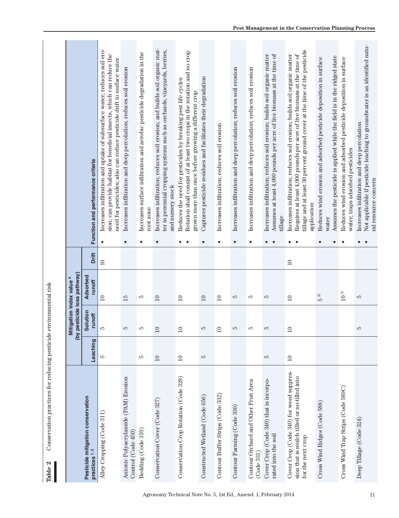|                                                                                                             |                 | Mitigation index value <sup>4</sup><br>(by | pesticide loss pathway) |                 |                        |                                                                                                                                                                                                                                                |
|-------------------------------------------------------------------------------------------------------------|-----------------|--------------------------------------------|-------------------------|-----------------|------------------------|------------------------------------------------------------------------------------------------------------------------------------------------------------------------------------------------------------------------------------------------|
| Pesticide mitigation conservation<br>practices 1,2                                                          | Leaching        | Solution<br>runoff                         | Adsorbed<br>runoff      | Drift           |                        | Function and performance criteria                                                                                                                                                                                                              |
| Alley Cropping (Code 311)                                                                                   | rO              | ГŰ                                         | $\overline{10}$         | $\overline{10}$ | $\bullet$              | Increases infiltration and uptake of subsurface water; reduces soil ero-<br>sion; can provide habitat for beneficial insects, which can reduce the<br>need for pesticides; also can reduce pesticide drift to surface water                    |
| Anionic Polyacrylamide (PAM) Erosion<br>Control (Code 450)                                                  |                 | S                                          | 15                      |                 | $\bullet$              | Increases infiltration and deep percolation; reduces soil erosion                                                                                                                                                                              |
| Bedding (Code 310)                                                                                          | LC)             | LC)                                        | ю                       |                 | $\bullet$              | Increases surface infiltration and aerobic pesticide degradation in the<br>root zone                                                                                                                                                           |
| Conservation Cover (Code 327)                                                                               | 10              | 10                                         | 10                      |                 | $\bullet$              | Increases infiltration; reduces soil erosion; and builds soil organic mat-<br>ter in perennial cropping systems such as orchards, vineyards, berries,<br>and nursery stock                                                                     |
| Conservation Crop Rotation (Code 328)                                                                       | $\overline{10}$ | $\overline{10}$                            | $\overline{10}$         |                 | $\bullet$<br>$\bullet$ | Rotation shall consist of at least two crops in the rotation and no crop<br>Reduces the need for pesticides by breaking pest life cycles<br>grown more than once before growing a different crop                                               |
| Constructed Wetland (Code 656)                                                                              | S               | LQ                                         | $\Box$                  |                 | $\bullet$              | Captures pesticide residues and facilitates their degradation                                                                                                                                                                                  |
| Contour Buffer Strips (Code 332)                                                                            |                 | $\overline{10}$                            | $\overline{10}$         |                 | $\bullet$              | Increases infiltration; reduces soil erosion                                                                                                                                                                                                   |
| Contour Farming (Code 330)                                                                                  |                 | LQ                                         | S                       |                 | $\bullet$              | Increases infiltration and deep percolation; reduces soil erosion                                                                                                                                                                              |
| Contour Orchard and Other Fruit Area<br>(Code 331)                                                          |                 | LQ                                         | w                       |                 | $\bullet$              | Increases infiltration and deep percolation; reduces soil erosion                                                                                                                                                                              |
| Cover Crop (Code 340) that is incorpo-<br>rated into the soil                                               | LC)             | S                                          | Ю                       |                 | $\bullet$<br>$\bullet$ | Assumes at least 4,000 pounds per acre of live biomass at the time of<br>Increases infiltration; reduces soil erosion; builds soil organic matter<br>tillage                                                                                   |
| Cover Crop (Code 340) for weed suppres-<br>sion that is mulch tilled or no-tilled into<br>for the next crop | $\overline{10}$ | $\overline{10}$                            | $\overline{10}$         | $\overline{10}$ | $\bullet$<br>$\bullet$ | tillage and at least 30 percent ground cover at the time of the pesticide<br>Requires at least 4,000 pounds per acre of live biomass at the time of<br>Increases infiltration; reduces soil erosion; builds soil organic matter<br>application |
| Cross Wind Ridges (Code 588)                                                                                |                 |                                            | $5\%$                   |                 | $\bullet$<br>$\bullet$ | Assumes the pesticide is applied while the field is in the ridged state<br>Reduces wind erosion and adsorbed pesticide deposition in surface<br>water                                                                                          |
| Cross Wind Trap Strips (Code 589C)                                                                          |                 |                                            | $10\,3$                 |                 | $\bullet$              | Reduces wind erosion and adsorbed pesticide deposition in surface<br>water; traps adsorbed pesticides                                                                                                                                          |
| Deep Tillage (Code 324)                                                                                     |                 | S                                          | S                       |                 | $\bullet$              | Not applicable if pesticide leaching to groundwater is an identified natu-<br>Increases infiltration and deep percolation<br>ral resource concern                                                                                              |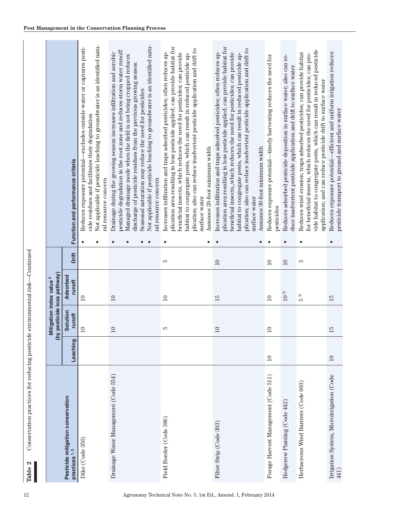|                                                    |                 | Mitigation index value 4 | (by pesticide loss pathway) |                 |                                                |                                                                                                                                                                                                                                                                                                                                                                                                                                 |
|----------------------------------------------------|-----------------|--------------------------|-----------------------------|-----------------|------------------------------------------------|---------------------------------------------------------------------------------------------------------------------------------------------------------------------------------------------------------------------------------------------------------------------------------------------------------------------------------------------------------------------------------------------------------------------------------|
| Pesticide mitigation conservation<br>practices 1,2 | Leaching        | Solution<br>runoff       | Adsorbed<br>runoff          | Drift           | Function and performance criteria              |                                                                                                                                                                                                                                                                                                                                                                                                                                 |
| Dike (Code 356)                                    |                 | $\supseteq$              | $\supseteq$                 |                 | ral resource concern                           | Not applicable if pesticide leaching to groundwater is an identified natu-<br>Reduces exposure potential—excludes outside water or captures pesti-<br>cide residues and facilitates their degradation                                                                                                                                                                                                                           |
| Drainage Water Management (Code 554)               |                 | $\supseteq$              | $\Box$                      |                 | ral resource concern                           | Not applicable if pesticide leaching to groundwater is an identified natu-<br>pesticide degradation in the root zone and reduces storm water runoff<br>Drainage during the growing season increases infiltration and aerobic<br>Managed drainage mode when the field is not being cropped reduces<br>discharge of pesticide residues from the previous growing season<br>Seasonal saturation may reduce the need for pesticides |
| Field Border (Code 386)                            |                 | ю                        | $\supseteq$                 | LC)             | Assumes 20-foot minimum width<br>surface water | plication area resulting in less pesticide applied; can provide habitat for<br>plication; also can reduce inadvertent pesticide application and drift to<br>beneficial insects, which reduces the need for pesticides; can provide<br>Increases infiltration and traps adsorbed pesticides; often reduces ap-<br>habitat to congregate pests, which can result in reduced pesticide ap-                                         |
| Filter Strip (Code 393)                            |                 | $10\,$                   | 15                          | $10\,$          | Assumes 30-foot minimum width<br>surface water | plication area resulting in less pesticide applied; can provide habitat for<br>plication; also can reduce inadvertent pesticide application and drift to<br>Increases infiltration and traps adsorbed pesticides; often reduces ap-<br>beneficial insects, which reduces the need for pesticides; can provide<br>habitat to congregate pests, which can result in reduced pesticide ap-                                         |
| Forage Harvest Management (Code 511)               | $\square$       | $\supseteq$              | $\supseteq$                 | $\supseteq$     | pesticides                                     | Reduces exposure potential—timely harvesting reduces the need for                                                                                                                                                                                                                                                                                                                                                               |
| Hedgerow Planting (Code 442)                       |                 |                          | $10\,3$                     | $\overline{10}$ |                                                | Reduces adsorbed pesticide deposition in surface water; also can re-<br>duce inadvertent pesticide application and drift to surface water                                                                                                                                                                                                                                                                                       |
| Herbaceous Wind Barriers (Code 603)                |                 |                          | $5\,\mathrm{ s}$            | ١О              |                                                | vide habitat to congregate pests, which can result in reduced pesticide<br>Reduces wind erosion; traps adsorbed pesticides; can provide habitat<br>for beneficial insects, which reduces the need for pesticides; can pro-<br>application; and can reduce pesticide drift to surface water                                                                                                                                      |
| Irrigation System, Microirrigation (Code<br>441)   | $\overline{10}$ | 15                       | 15                          |                 |                                                | Reduces exposure potential—efficient and uniform irrigation reduces<br>pesticide transport to ground and surface water                                                                                                                                                                                                                                                                                                          |

Table 2

**Table 2** Conservation practices for reducing pesticide environmental risk—Continued

Conservation practices for reducing pesticide environmental risk-Continued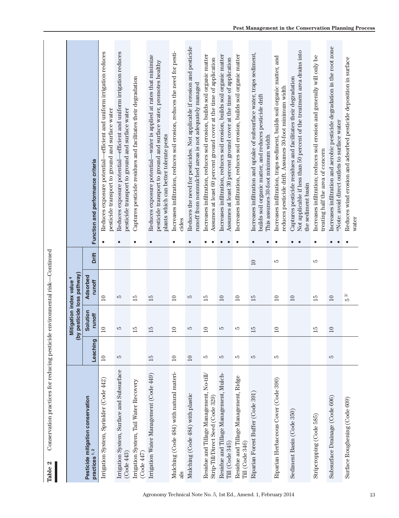| Conservation practices for reducing pesticide environmental risk—Continued<br>Table 2 |                 |                                            |                         |        |                                                                                                                                                                                                   |
|---------------------------------------------------------------------------------------|-----------------|--------------------------------------------|-------------------------|--------|---------------------------------------------------------------------------------------------------------------------------------------------------------------------------------------------------|
|                                                                                       |                 | Mitigation index value <sup>4</sup><br>(by | pesticide loss pathway) |        |                                                                                                                                                                                                   |
| Pesticide mitigation conservation<br>practices 1,2                                    | Leaching        | Solution<br>runoff                         | Adsorbed<br>runoff      | Drift  | Function and performance criteria                                                                                                                                                                 |
| Irrigation System, Sprinkler (Code 442)                                               | $\overline{10}$ | $\circ$                                    | $\overline{10}$         |        | Reduces exposure potential—efficient and uniform irrigation reduces<br>pesticide transport to ground and surface water<br>$\bullet$                                                               |
| Irrigation System, Surface and Subsurface<br>(Code 443)                               | LQ              | LQ                                         | S                       |        | Reduces exposure potential—efficient and uniform irrigation reduces<br>pesticide transport to ground and surface water<br>$\bullet$                                                               |
| Irrigation System, Tail Water Recovery<br>(Code 447)                                  |                 | LQ                                         | $\overline{15}$         |        | Captures pesticide residues and facilitates their degradation<br>$\bullet$                                                                                                                        |
| Irrigation Water Management (Code 449)                                                | $\overline{15}$ | LC)                                        | 15                      |        | Reduces exposure potential—water is applied at rates that minimize<br>pesticide transport to ground and surface water, promotes healthy<br>plants which can better tolerate pests<br>$\bullet$    |
| Mulching (Code 484) with natural materi-<br>als                                       | $\supseteq$     | $\circ$                                    | $\overline{10}$         |        | Increases infiltration, reduces soil erosion, reduces the need for pesti-<br>cides<br>$\bullet$                                                                                                   |
| Mulching (Code 484) with plastic                                                      | $\Box$          | 5                                          | Ю                       |        | Reduces the need for pesticides. Not applicable if erosion and pesticide<br>runoff from nonmulched areas is not adequately managed<br>$\bullet$                                                   |
| Residue and Tillage Management, No-till/<br>Strip-Till/Direct Seed (Code 329)         | LQ.             | $\circ$                                    | $\overline{15}$         |        | Increases infiltration, reduces soil erosion, builds soil organic matter<br>Assumes at least 60 percent ground cover at the time of application<br>$\bullet$<br>$\bullet$                         |
| Residue and Tillage Management, Mulch-<br>Till (Code 345)                             | 5               | 5                                          | $\Box$                  |        | Increases infiltration, reduces soil erosion, builds soil organic matter<br>Assumes at least 30 percent ground cover at the time of application<br>$\bullet$<br>$\bullet$                         |
| Residue and Tillage Management, Ridge<br>Till (Code 346)                              | FC              | LC)                                        | $\overline{10}$         |        | Increases infiltration, reduces soil erosion, builds soil organic matter<br>$\bullet$                                                                                                             |
| Riparian Forest Buffer (Code 391)                                                     | S               | S                                          | 15                      | $\Box$ | Increases infiltration and uptake of subsurface water, traps sediment,<br>builds soil organic matter, and reduces pesticide drift<br>This assumes 30-foot minimum width<br>$\bullet$<br>$\bullet$ |
| Riparian Herbaceous Cover (Code 390)                                                  | FC              | $\circ$                                    | $\overline{10}$         | Ю      | Increases infiltration, traps sediment, builds soil organic matter, and<br>reduces pesticide drift. Assumes 30-foot minimum width<br>$\bullet$                                                    |
| Sediment Basin (Code 350)                                                             |                 |                                            | $\Box$                  |        | Not applicable if less than 50 percent of the treatment area drains into<br>Captures pesticide residues and facilitates their degradation<br>the sediment basin<br>$\bullet$<br>$\bullet$         |
| Stripcropping (Code 585)                                                              |                 | ГŰ                                         | 15                      | LQ     | Increases infiltration; reduces soil erosion and generally will only be<br>treating half the area of concern<br>$\bullet$                                                                         |
| Subsurface Drainage (Code 606)                                                        | 5               | $\circ$                                    | $\overline{10}$         |        | Increases infiltration and aerobic pesticide degradation in the root zone<br>*Note: avoid direct outlets to surface water<br>$\bullet$<br>$\bullet$                                               |
| Surface Roughening (Code 609)                                                         |                 |                                            | $5\,\mathrm{g}$         |        | Reduces wind erosion and adsorbed pesticide deposition in surface<br>water<br>$\bullet$                                                                                                           |